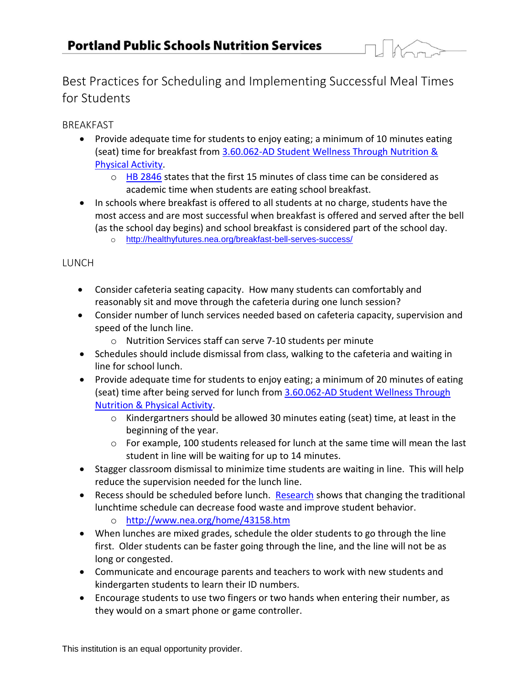

Best Practices for Scheduling and Implementing Successful Meal Times for Students

BREAKFAST

- Provide adequate time for students to enjoy eating; a minimum of 10 minutes eating (seat) time for breakfast from [3.60.062-AD Student Wellness Through Nutrition &](http://www.pps.k12.or.us/files/board/3_60_062_AD.pdf)  [Physical Activity.](http://www.pps.k12.or.us/files/board/3_60_062_AD.pdf)
	- o [HB 2846](https://olis.leg.state.or.us/liz/2015R1/Downloads/MeasureDocument/HB2846/Enrolled) states that the first 15 minutes of class time can be considered as academic time when students are eating school breakfast.
- In schools where breakfast is offered to all students at no charge, students have the most access and are most successful when breakfast is offered and served after the bell (as the school day begins) and school breakfast is considered part of the school day. o <http://healthyfutures.nea.org/breakfast-bell-serves-success/>

## **LUNCH**

- Consider cafeteria seating capacity. How many students can comfortably and reasonably sit and move through the cafeteria during one lunch session?
- Consider number of lunch services needed based on cafeteria capacity, supervision and speed of the lunch line.
	- o Nutrition Services staff can serve 7-10 students per minute
- Schedules should include dismissal from class, walking to the cafeteria and waiting in line for school lunch.
- Provide adequate time for students to enjoy eating; a minimum of 20 minutes of eating (seat) time after being served for lunch from 3.60.062-AD Student Wellness Through [Nutrition & Physical Activity.](http://www.pps.k12.or.us/files/board/3_60_062_AD.pdf)
	- o Kindergartners should be allowed 30 minutes eating (seat) time, at least in the beginning of the year.
	- $\circ$  For example, 100 students released for lunch at the same time will mean the last student in line will be waiting for up to 14 minutes.
- Stagger classroom dismissal to minimize time students are waiting in line. This will help reduce the supervision needed for the lunch line.
- Recess should be scheduled before lunch. [Research](http://www.nea.org/home/43158.htm) shows that changing the traditional lunchtime schedule can decrease food waste and improve student behavior.
	- o <http://www.nea.org/home/43158.htm>
- When lunches are mixed grades, schedule the older students to go through the line first. Older students can be faster going through the line, and the line will not be as long or congested.
- Communicate and encourage parents and teachers to work with new students and kindergarten students to learn their ID numbers.
- Encourage students to use two fingers or two hands when entering their number, as they would on a smart phone or game controller.